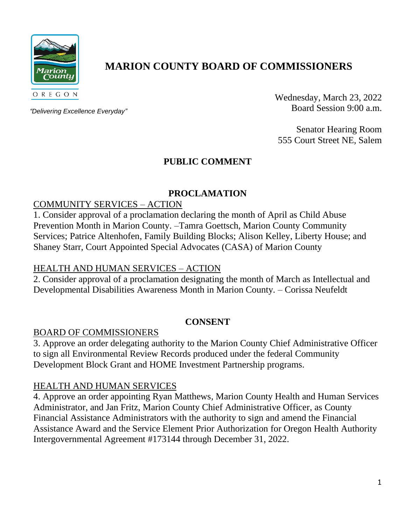

# **MARION COUNTY BOARD OF COMMISSIONERS**

*"Delivering Excellence Everyday"*

Wednesday, March 23, 2022 Board Session 9:00 a.m.

Senator Hearing Room 555 Court Street NE, Salem

# **PUBLIC COMMENT**

# **PROCLAMATION**

## COMMUNITY SERVICES – ACTION

1. Consider approval of a proclamation declaring the month of April as Child Abuse Prevention Month in Marion County. –Tamra Goettsch, Marion County Community Services; Patrice Altenhofen, Family Building Blocks; Alison Kelley, Liberty House; and Shaney Starr, Court Appointed Special Advocates (CASA) of Marion County

## HEALTH AND HUMAN SERVICES – ACTION

2. Consider approval of a proclamation designating the month of March as Intellectual and Developmental Disabilities Awareness Month in Marion County. – Corissa Neufeldt

## **CONSENT**

## BOARD OF COMMISSIONERS

3. Approve an order delegating authority to the Marion County Chief Administrative Officer to sign all Environmental Review Records produced under the federal Community Development Block Grant and HOME Investment Partnership programs.

## HEALTH AND HUMAN SERVICES

4. Approve an order appointing Ryan Matthews, Marion County Health and Human Services Administrator, and Jan Fritz, Marion County Chief Administrative Officer, as County Financial Assistance Administrators with the authority to sign and amend the Financial Assistance Award and the Service Element Prior Authorization for Oregon Health Authority Intergovernmental Agreement #173144 through December 31, 2022.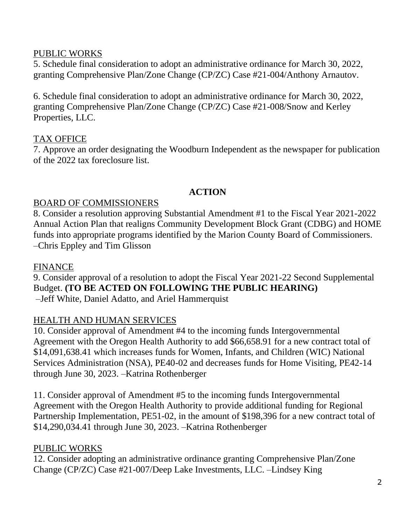## PUBLIC WORKS

5. Schedule final consideration to adopt an administrative ordinance for March 30, 2022, granting Comprehensive Plan/Zone Change (CP/ZC) Case #21-004/Anthony Arnautov.

6. Schedule final consideration to adopt an administrative ordinance for March 30, 2022, granting Comprehensive Plan/Zone Change (CP/ZC) Case #21-008/Snow and Kerley Properties, LLC.

## TAX OFFICE

7. Approve an order designating the Woodburn Independent as the newspaper for publication of the 2022 tax foreclosure list.

## **ACTION**

#### BOARD OF COMMISSIONERS

8. Consider a resolution approving Substantial Amendment #1 to the Fiscal Year 2021-2022 Annual Action Plan that realigns Community Development Block Grant (CDBG) and HOME funds into appropriate programs identified by the Marion County Board of Commissioners. –Chris Eppley and Tim Glisson

#### FINANCE

9. Consider approval of a resolution to adopt the Fiscal Year 2021-22 Second Supplemental Budget. **(TO BE ACTED ON FOLLOWING THE PUBLIC HEARING)** –Jeff White, Daniel Adatto, and Ariel Hammerquist

## HEALTH AND HUMAN SERVICES

10. Consider approval of Amendment #4 to the incoming funds Intergovernmental Agreement with the Oregon Health Authority to add \$66,658.91 for a new contract total of \$14,091,638.41 which increases funds for Women, Infants, and Children (WIC) National Services Administration (NSA), PE40-02 and decreases funds for Home Visiting, PE42-14 through June 30, 2023. –Katrina Rothenberger

11. Consider approval of Amendment #5 to the incoming funds Intergovernmental Agreement with the Oregon Health Authority to provide additional funding for Regional Partnership Implementation, PE51-02, in the amount of \$198,396 for a new contract total of \$14,290,034.41 through June 30, 2023. –Katrina Rothenberger

## PUBLIC WORKS

12. Consider adopting an administrative ordinance granting Comprehensive Plan/Zone Change (CP/ZC) Case #21-007/Deep Lake Investments, LLC. –Lindsey King